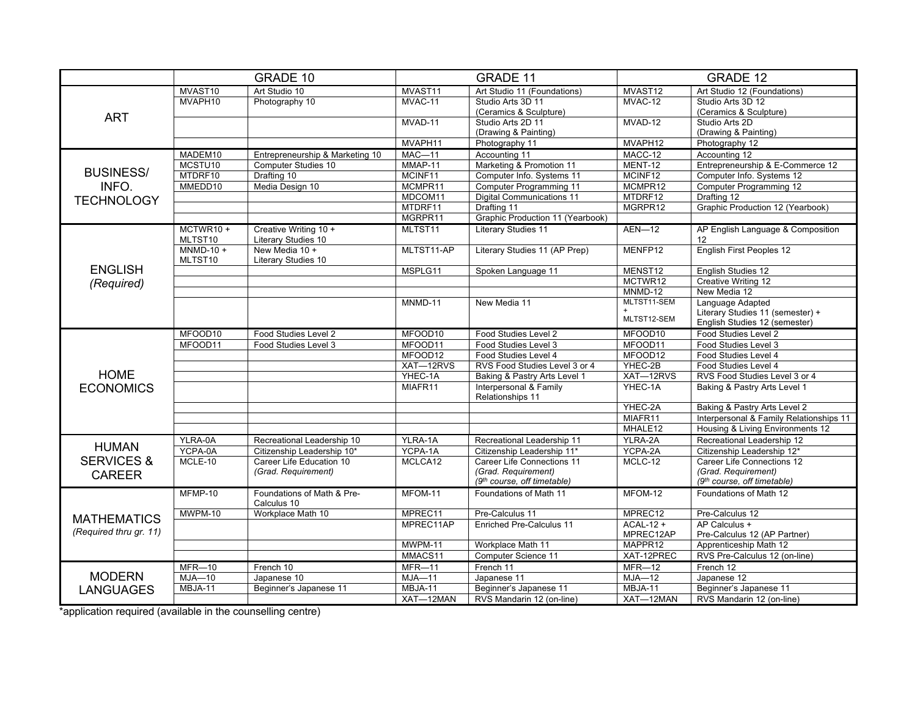|                        | GRADE 10               |                                              | <b>GRADE 11</b>                        |                                  | <b>GRADE 12</b> |                                         |  |
|------------------------|------------------------|----------------------------------------------|----------------------------------------|----------------------------------|-----------------|-----------------------------------------|--|
|                        | MVAST10                | Art Studio 10                                | MVAST11<br>Art Studio 11 (Foundations) |                                  | MVAST12         | Art Studio 12 (Foundations)             |  |
|                        | MVAPH10                | Photography 10                               | MVAC-11                                | Studio Arts 3D 11                | MVAC-12         | Studio Arts 3D 12                       |  |
|                        |                        |                                              |                                        | (Ceramics & Sculpture)           |                 | (Ceramics & Sculpture)                  |  |
| <b>ART</b>             |                        |                                              | MVAD-11                                | Studio Arts 2D 11                | MVAD-12         | Studio Arts 2D                          |  |
|                        |                        |                                              |                                        | (Drawing & Painting)             |                 | (Drawing & Painting)                    |  |
|                        |                        |                                              | MVAPH11                                | Photography 11                   | MVAPH12         | Photography 12                          |  |
|                        | MADEM10                | Entrepreneurship & Marketing 10              | $MAC-11$                               | Accounting 11                    | MACC-12         | Accounting 12                           |  |
|                        | MCSTU <sub>10</sub>    | Computer Studies 10                          | MMAP-11                                | Marketing & Promotion 11         | MENT-12         | Entrepreneurship & E-Commerce 12        |  |
| <b>BUSINESS/</b>       | MTDRF10                | Drafting 10                                  | MCINF11                                | Computer Info. Systems 11        | MCINF12         | Computer Info. Systems 12               |  |
| INFO.                  | MMEDD10                | Media Design 10                              | MCMPR11                                | Computer Programming 11          | MCMPR12         | Computer Programming 12                 |  |
| <b>TECHNOLOGY</b>      |                        |                                              | MDCOM11                                | <b>Digital Communications 11</b> | MTDRF12         | Drafting 12                             |  |
|                        |                        |                                              | MTDRF11                                | Drafting 11                      | MGRPR12         | Graphic Production 12 (Yearbook)        |  |
|                        |                        |                                              | MGRPR11                                | Graphic Production 11 (Yearbook) |                 |                                         |  |
|                        | MCTWR10+               | Creative Writing 10 +                        | MLTST11                                | <b>Literary Studies 11</b>       | $AEN-12$        | AP English Language & Composition       |  |
|                        | MLTST10                | Literary Studies 10                          |                                        |                                  |                 | 12                                      |  |
|                        | $MNMD-10 +$<br>MLTST10 | New Media 10 +<br><b>Literary Studies 10</b> | MLTST11-AP                             | Literary Studies 11 (AP Prep)    | MENFP12         | <b>English First Peoples 12</b>         |  |
| <b>ENGLISH</b>         |                        |                                              | MSPLG11                                | Spoken Language 11               | MENST12         | English Studies 12                      |  |
|                        |                        |                                              |                                        |                                  | MCTWR12         | <b>Creative Writing 12</b>              |  |
| (Required)             |                        |                                              |                                        |                                  | MNMD-12         | New Media 12                            |  |
|                        |                        |                                              | MNMD-11                                | New Media 11                     | MLTST11-SEM     | Language Adapted                        |  |
|                        |                        |                                              |                                        |                                  |                 | Literary Studies 11 (semester) +        |  |
|                        |                        |                                              |                                        |                                  | MLTST12-SEM     | English Studies 12 (semester)           |  |
|                        | MFOOD10                | Food Studies Level 2                         | MFOOD10                                | Food Studies Level 2             | MFOOD10         | Food Studies Level 2                    |  |
|                        | MFOOD11                | Food Studies Level 3                         | MFOOD11                                | Food Studies Level 3             | MFOOD11         | Food Studies Level 3                    |  |
|                        |                        |                                              | MFOOD12                                | Food Studies Level 4             | MFOOD12         | Food Studies Level 4                    |  |
|                        |                        |                                              | XAT-12RVS                              | RVS Food Studies Level 3 or 4    | YHEC-2B         | Food Studies Level 4                    |  |
| <b>HOME</b>            |                        |                                              | YHEC-1A                                | Baking & Pastry Arts Level 1     | XAT-12RVS       | RVS Food Studies Level 3 or 4           |  |
| <b>ECONOMICS</b>       |                        |                                              | MIAFR11                                | Interpersonal & Family           | YHEC-1A         | Baking & Pastry Arts Level 1            |  |
|                        |                        |                                              |                                        | Relationships 11                 |                 |                                         |  |
|                        |                        |                                              |                                        |                                  | YHEC-2A         | Baking & Pastry Arts Level 2            |  |
|                        |                        |                                              |                                        |                                  | MIAFR11         | Interpersonal & Family Relationships 11 |  |
|                        |                        |                                              |                                        |                                  | MHALE12         | Housing & Living Environments 12        |  |
| <b>HUMAN</b>           | YLRA-0A                | Recreational Leadership 10                   | YLRA-1A                                | Recreational Leadership 11       | YLRA-2A         | Recreational Leadership 12              |  |
|                        | YCPA-0A                | Citizenship Leadership 10*                   | YCPA-1A                                | Citizenship Leadership 11*       | YCPA-2A         | Citizenship Leadership 12*              |  |
| <b>SERVICES &amp;</b>  | MCLE-10                | Career Life Education 10                     | MCLCA12                                | Career Life Connections 11       | MCLC-12         | Career Life Connections 12              |  |
| <b>CAREER</b>          |                        | (Grad. Requirement)                          |                                        | (Grad. Requirement)              |                 | (Grad. Requirement)                     |  |
|                        |                        |                                              |                                        | (9th course, off timetable)      |                 | $(9th course. off timetable)$           |  |
|                        | MFMP-10                | Foundations of Math & Pre-<br>Calculus 10    | MFOM-11                                | Foundations of Math 11           | MFOM-12         | Foundations of Math 12                  |  |
|                        | MWPM-10                | Workplace Math 10                            | MPREC11                                | Pre-Calculus 11                  | MPREC12         | Pre-Calculus 12                         |  |
| <b>MATHEMATICS</b>     |                        |                                              | MPREC11AP                              | Enriched Pre-Calculus 11         | ACAL-12 +       | AP Calculus +                           |  |
| (Required thru gr. 11) |                        |                                              |                                        |                                  | MPREC12AP       | Pre-Calculus 12 (AP Partner)            |  |
|                        |                        |                                              | MWPM-11                                | Workplace Math 11                | MAPPR12         | Apprenticeship Math 12                  |  |
|                        |                        |                                              | MMACS11                                | Computer Science 11              | XAT-12PREC      | RVS Pre-Calculus 12 (on-line)           |  |
|                        | $MFR-10$               | French 10                                    | $MFR - 11$                             | French 11                        | $MFR-12$        | French 12                               |  |
| <b>MODERN</b>          | $MJA-10$               | Japanese 10                                  | $MJA-11$                               | Japanese 11                      | $MJA-12$        | Japanese 12                             |  |
| <b>LANGUAGES</b>       | MBJA-11                | Beginner's Japanese 11                       | MBJA-11                                | Beginner's Japanese 11           | MBJA-11         | Beginner's Japanese 11                  |  |
|                        |                        |                                              |                                        | RVS Mandarin 12 (on-line)        | XAT-12MAN       | RVS Mandarin 12 (on-line)               |  |

\*application required (available in the counselling centre)